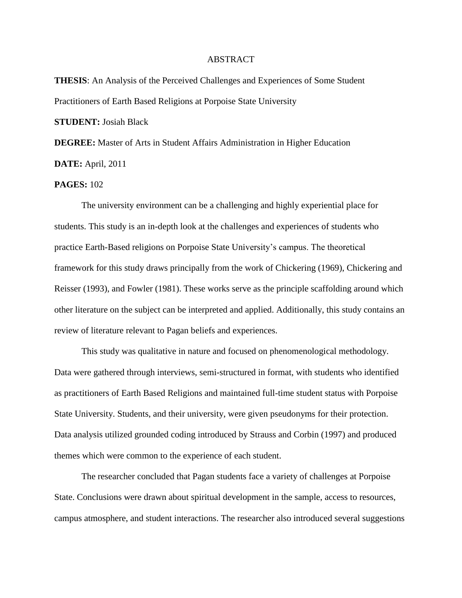## ABSTRACT

**THESIS**: An Analysis of the Perceived Challenges and Experiences of Some Student Practitioners of Earth Based Religions at Porpoise State University

**STUDENT:** Josiah Black

**DEGREE:** Master of Arts in Student Affairs Administration in Higher Education **DATE:** April, 2011

## **PAGES:** 102

The university environment can be a challenging and highly experiential place for students. This study is an in-depth look at the challenges and experiences of students who practice Earth-Based religions on Porpoise State University's campus. The theoretical framework for this study draws principally from the work of Chickering (1969), Chickering and Reisser (1993), and Fowler (1981). These works serve as the principle scaffolding around which other literature on the subject can be interpreted and applied. Additionally, this study contains an review of literature relevant to Pagan beliefs and experiences.

This study was qualitative in nature and focused on phenomenological methodology. Data were gathered through interviews, semi-structured in format, with students who identified as practitioners of Earth Based Religions and maintained full-time student status with Porpoise State University. Students, and their university, were given pseudonyms for their protection. Data analysis utilized grounded coding introduced by Strauss and Corbin (1997) and produced themes which were common to the experience of each student.

The researcher concluded that Pagan students face a variety of challenges at Porpoise State. Conclusions were drawn about spiritual development in the sample, access to resources, campus atmosphere, and student interactions. The researcher also introduced several suggestions